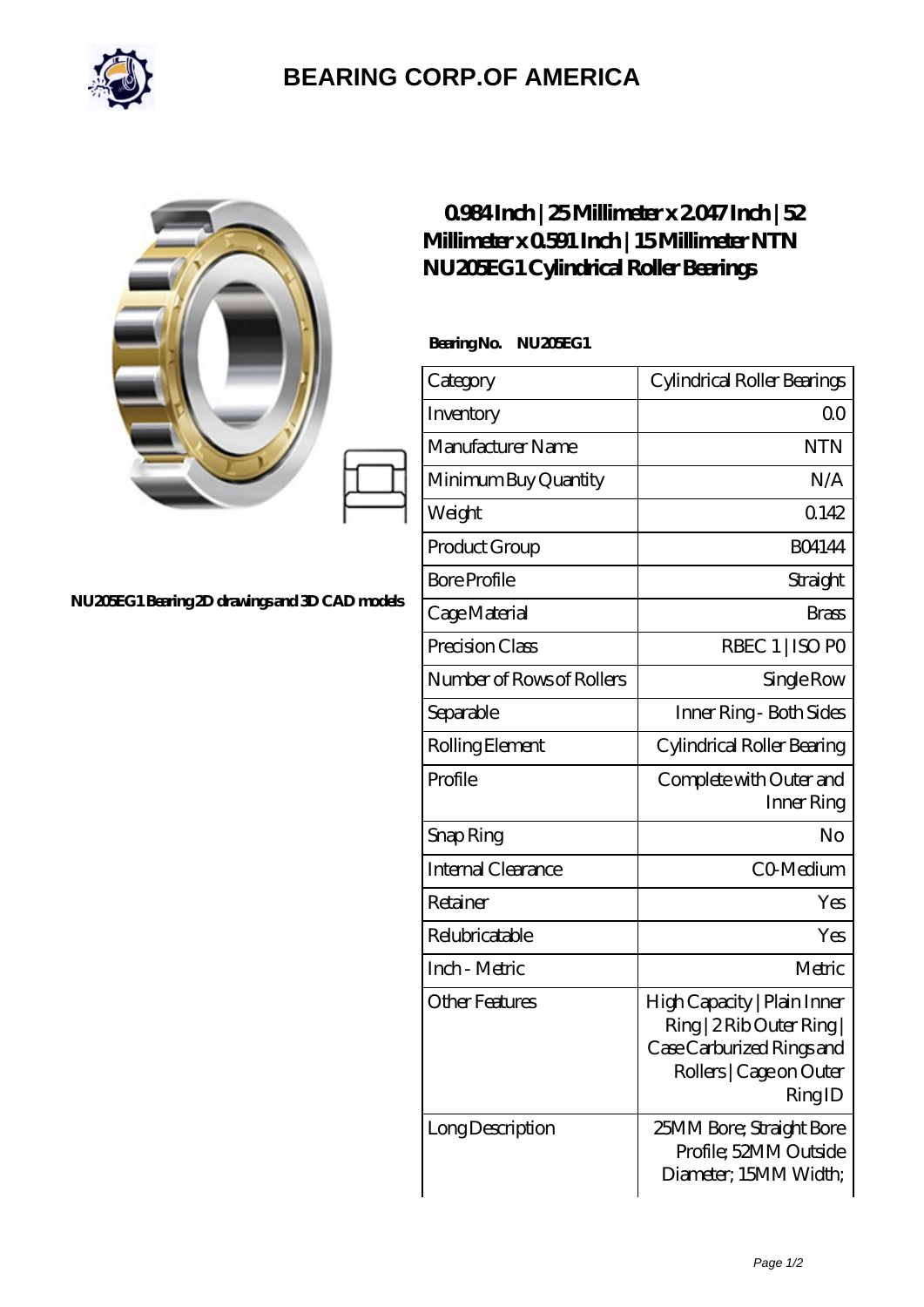

## **[BEARING CORP.OF AMERICA](https://bluemondayreview.com)**

|                                              | $0984$ Inch   25Millimeter x 2047 Inch   52<br>Millimeter x 0591 Inch   15 Millimeter NTN<br>NU20EG1 Cylindrical Roller Bearings |                                                                                                                            |
|----------------------------------------------|----------------------------------------------------------------------------------------------------------------------------------|----------------------------------------------------------------------------------------------------------------------------|
|                                              | BearingNo.<br>NU20EG1                                                                                                            |                                                                                                                            |
|                                              | Category                                                                                                                         | Cylindrical Roller Bearings                                                                                                |
|                                              | Inventory                                                                                                                        | 0 <sub>0</sub>                                                                                                             |
|                                              | Manufacturer Name                                                                                                                | <b>NTN</b>                                                                                                                 |
|                                              | Minimum Buy Quantity                                                                                                             | N/A                                                                                                                        |
|                                              | Weight                                                                                                                           | 0.142                                                                                                                      |
|                                              | Product Group                                                                                                                    | <b>BO4144</b>                                                                                                              |
|                                              | <b>Bore Profile</b>                                                                                                              | Straight                                                                                                                   |
| NU20EG1Bearing 2D drawings and 3D CAD models | Cage Material                                                                                                                    | <b>Brass</b>                                                                                                               |
|                                              | Precision Class                                                                                                                  | RBEC 1   ISO PO                                                                                                            |
|                                              | Number of Rows of Rollers                                                                                                        | Single Row                                                                                                                 |
|                                              | Separable                                                                                                                        | Inner Ring - Both Sides                                                                                                    |
|                                              | Rolling Element                                                                                                                  | Cylindrical Roller Bearing                                                                                                 |
|                                              | Profile                                                                                                                          | Complete with Outer and<br>Inner Ring                                                                                      |
|                                              | Snap Ring                                                                                                                        | No                                                                                                                         |
|                                              | <b>Internal Clearance</b>                                                                                                        | CO-Medium                                                                                                                  |
|                                              | Retainer                                                                                                                         | Yes                                                                                                                        |
|                                              | Relubricatable                                                                                                                   | Yes                                                                                                                        |
|                                              | Inch - Metric                                                                                                                    | Metric                                                                                                                     |
|                                              | <b>Other Features</b>                                                                                                            | High Capacity   Plain Inner<br>Ring   2 Rib Outer Ring  <br>Case Carburized Rings and<br>Rollers   Cage on Outer<br>RingID |
|                                              | Long Description                                                                                                                 | 25MM Bore; Straight Bore<br>Profile; 52MM Outside<br>Diameter; 15MM Width;                                                 |